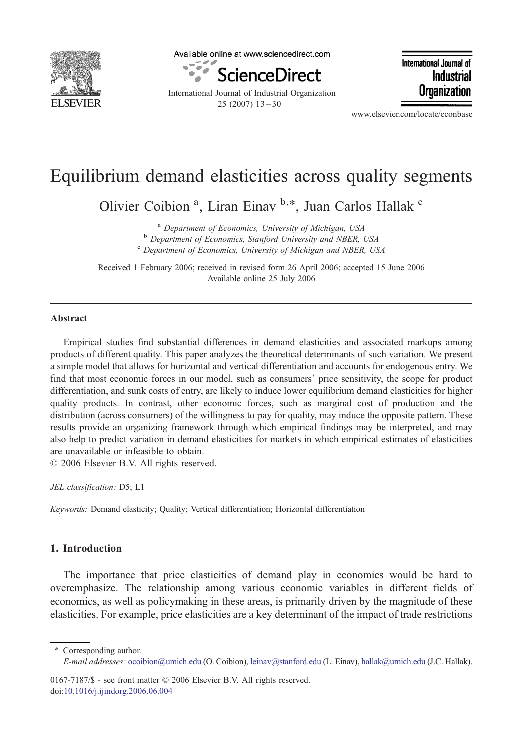

Available online at www.sciencedirect.com



International Journal of Industrial Organization 25 (2007) 13–30

International Journal of Industrial Organization

www.elsevier.com/locate/econbase

## Equilibrium demand elasticities across quality segments

Olivier Coibion<sup>a</sup>, Liran Einav<sup>b,\*</sup>, Juan Carlos Hallak<sup>c</sup>

<sup>a</sup> Department of Economics, University of Michigan, USA<br><sup>b</sup> Department of Economics, Stanford University and NBER, USA<br><sup>c</sup> Department of Economics, University of Michigan and NBER, USA

Received 1 February 2006; received in revised form 26 April 2006; accepted 15 June 2006 Available online 25 July 2006

## Abstract

Empirical studies find substantial differences in demand elasticities and associated markups among products of different quality. This paper analyzes the theoretical determinants of such variation. We present a simple model that allows for horizontal and vertical differentiation and accounts for endogenous entry. We find that most economic forces in our model, such as consumers' price sensitivity, the scope for product differentiation, and sunk costs of entry, are likely to induce lower equilibrium demand elasticities for higher quality products. In contrast, other economic forces, such as marginal cost of production and the distribution (across consumers) of the willingness to pay for quality, may induce the opposite pattern. These results provide an organizing framework through which empirical findings may be interpreted, and may also help to predict variation in demand elasticities for markets in which empirical estimates of elasticities are unavailable or infeasible to obtain.

© 2006 Elsevier B.V. All rights reserved.

JEL classification: D5; L1

Keywords: Demand elasticity; Quality; Vertical differentiation; Horizontal differentiation

## 1. Introduction

The importance that price elasticities of demand play in economics would be hard to overemphasize. The relationship among various economic variables in different fields of economics, as well as policymaking in these areas, is primarily driven by the magnitude of these elasticities. For example, price elasticities are a key determinant of the impact of trade restrictions

⁎ Corresponding author.

E-mail addresses: [ocoibion@umich.edu](mailto:ocoibion@umich.edu) (O. Coibion), [leinav@stanford.edu](mailto:leinav@stanford.edu) (L. Einav), [hallak@umich.edu](mailto:hallak@umich.edu) (J.C. Hallak).

0167-7187/\$ - see front matter © 2006 Elsevier B.V. All rights reserved. doi:[10.1016/j.ijindorg.2006.06.004](http://dx.doi.org/10.1016/j.ijindorg.2006.06.004)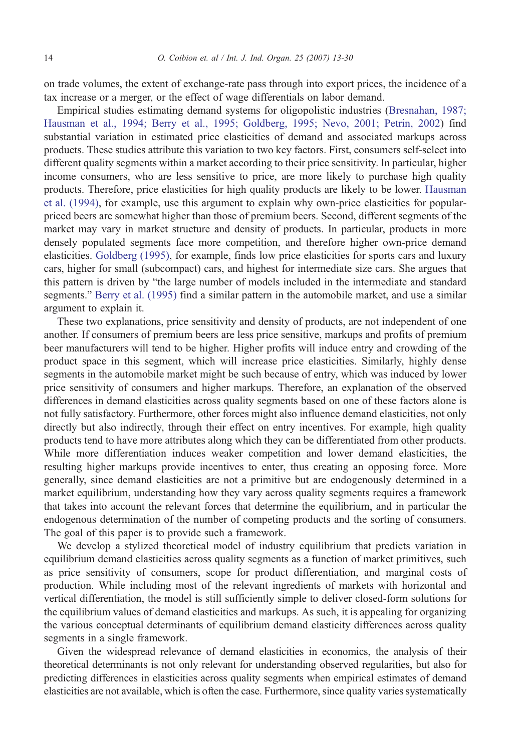on trade volumes, the extent of exchange-rate pass through into export prices, the incidence of a tax increase or a merger, or the effect of wage differentials on labor demand.

Empirical studies estimating demand systems for oligopolistic industries ([Bresnahan, 1987;](#page--1-0) [Hausman et al., 1994; Berry et al., 1995; Goldberg, 1995; Nevo, 2001; Petrin, 2002\)](#page--1-0) find substantial variation in estimated price elasticities of demand and associated markups across products. These studies attribute this variation to two key factors. First, consumers self-select into different quality segments within a market according to their price sensitivity. In particular, higher income consumers, who are less sensitive to price, are more likely to purchase high quality products. Therefore, price elasticities for high quality products are likely to be lower. [Hausman](#page--1-0) [et al. \(1994\)](#page--1-0), for example, use this argument to explain why own-price elasticities for popularpriced beers are somewhat higher than those of premium beers. Second, different segments of the market may vary in market structure and density of products. In particular, products in more densely populated segments face more competition, and therefore higher own-price demand elasticities. [Goldberg \(1995\)](#page--1-0), for example, finds low price elasticities for sports cars and luxury cars, higher for small (subcompact) cars, and highest for intermediate size cars. She argues that this pattern is driven by "the large number of models included in the intermediate and standard segments." [Berry et al. \(1995\)](#page--1-0) find a similar pattern in the automobile market, and use a similar argument to explain it.

These two explanations, price sensitivity and density of products, are not independent of one another. If consumers of premium beers are less price sensitive, markups and profits of premium beer manufacturers will tend to be higher. Higher profits will induce entry and crowding of the product space in this segment, which will increase price elasticities. Similarly, highly dense segments in the automobile market might be such because of entry, which was induced by lower price sensitivity of consumers and higher markups. Therefore, an explanation of the observed differences in demand elasticities across quality segments based on one of these factors alone is not fully satisfactory. Furthermore, other forces might also influence demand elasticities, not only directly but also indirectly, through their effect on entry incentives. For example, high quality products tend to have more attributes along which they can be differentiated from other products. While more differentiation induces weaker competition and lower demand elasticities, the resulting higher markups provide incentives to enter, thus creating an opposing force. More generally, since demand elasticities are not a primitive but are endogenously determined in a market equilibrium, understanding how they vary across quality segments requires a framework that takes into account the relevant forces that determine the equilibrium, and in particular the endogenous determination of the number of competing products and the sorting of consumers. The goal of this paper is to provide such a framework.

We develop a stylized theoretical model of industry equilibrium that predicts variation in equilibrium demand elasticities across quality segments as a function of market primitives, such as price sensitivity of consumers, scope for product differentiation, and marginal costs of production. While including most of the relevant ingredients of markets with horizontal and vertical differentiation, the model is still sufficiently simple to deliver closed-form solutions for the equilibrium values of demand elasticities and markups. As such, it is appealing for organizing the various conceptual determinants of equilibrium demand elasticity differences across quality segments in a single framework.

Given the widespread relevance of demand elasticities in economics, the analysis of their theoretical determinants is not only relevant for understanding observed regularities, but also for predicting differences in elasticities across quality segments when empirical estimates of demand elasticities are not available, which is often the case. Furthermore, since quality varies systematically